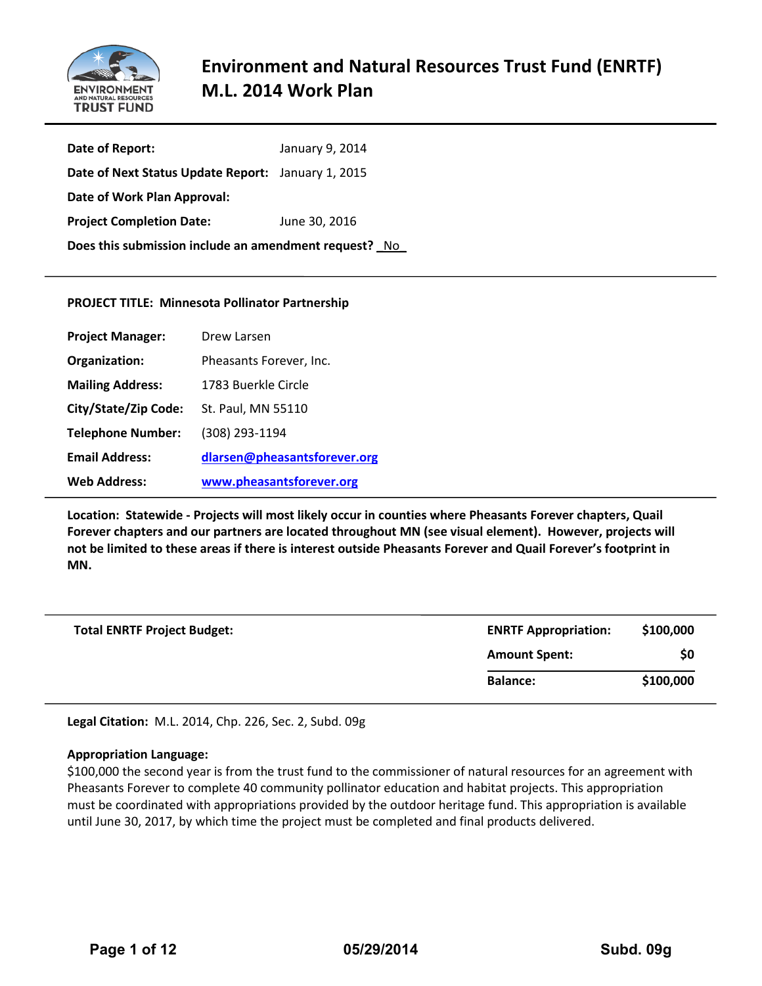

| Date of Report:                                       | January 9, 2014 |  |  |  |
|-------------------------------------------------------|-----------------|--|--|--|
| Date of Next Status Update Report: January 1, 2015    |                 |  |  |  |
| Date of Work Plan Approval:                           |                 |  |  |  |
| <b>Project Completion Date:</b>                       | June 30, 2016   |  |  |  |
| Does this submission include an amendment request? No |                 |  |  |  |

### **PROJECT TITLE: Minnesota Pollinator Partnership**

| <b>Project Manager:</b>  | Drew Larsen                  |
|--------------------------|------------------------------|
| Organization:            | Pheasants Forever, Inc.      |
| <b>Mailing Address:</b>  | 1783 Buerkle Circle          |
| City/State/Zip Code:     | St. Paul, MN 55110           |
| <b>Telephone Number:</b> | (308) 293-1194               |
| <b>Email Address:</b>    | dlarsen@pheasantsforever.org |
| <b>Web Address:</b>      | www.pheasantsforever.org     |

**Location: Statewide - Projects will most likely occur in counties where Pheasants Forever chapters, Quail Forever chapters and our partners are located throughout MN (see visual element). However, projects will not be limited to these areas if there is interest outside Pheasants Forever and Quail Forever's footprint in MN.** 

| <b>Total ENRTF Project Budget:</b> | <b>ENRTF Appropriation:</b> | \$100,000 |
|------------------------------------|-----------------------------|-----------|
|                                    | <b>Amount Spent:</b>        | \$0       |
|                                    | <b>Balance:</b>             | \$100,000 |

**Legal Citation:** M.L. 2014, Chp. 226, Sec. 2, Subd. 09g

# **Appropriation Language:**

\$100,000 the second year is from the trust fund to the commissioner of natural resources for an agreement with Pheasants Forever to complete 40 community pollinator education and habitat projects. This appropriation must be coordinated with appropriations provided by the outdoor heritage fund. This appropriation is available until June 30, 2017, by which time the project must be completed and final products delivered.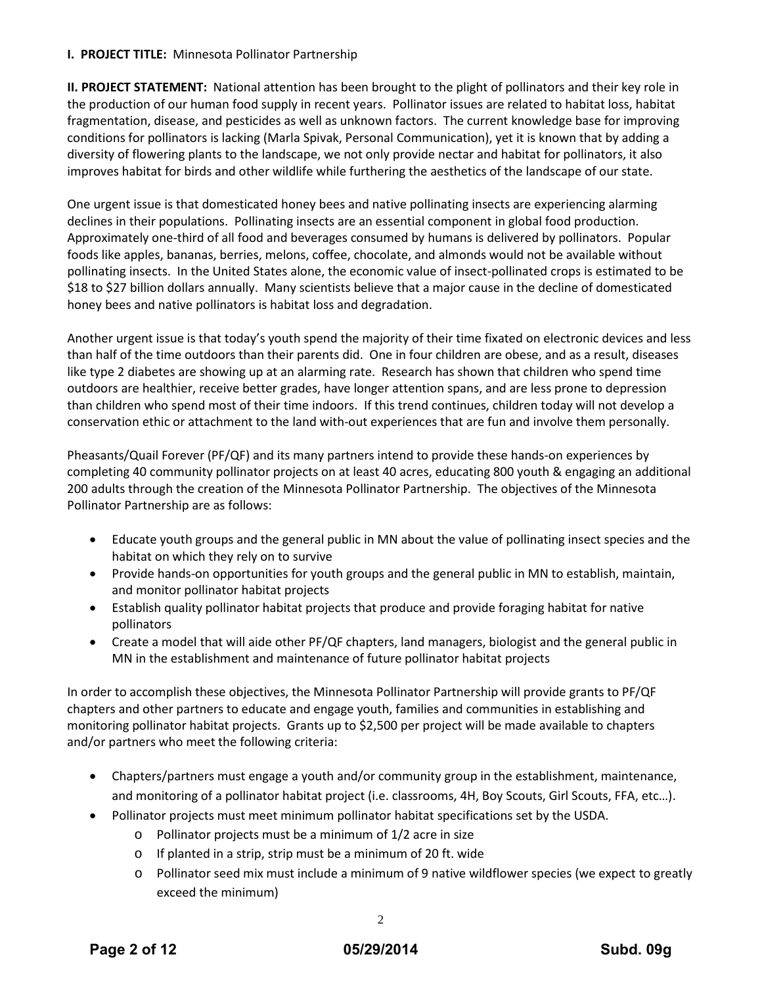# **I. PROJECT TITLE:** Minnesota Pollinator Partnership

**II. PROJECT STATEMENT:** National attention has been brought to the plight of pollinators and their key role in the production of our human food supply in recent years. Pollinator issues are related to habitat loss, habitat fragmentation, disease, and pesticides as well as unknown factors. The current knowledge base for improving conditions for pollinators is lacking (Marla Spivak, Personal Communication), yet it is known that by adding a diversity of flowering plants to the landscape, we not only provide nectar and habitat for pollinators, it also improves habitat for birds and other wildlife while furthering the aesthetics of the landscape of our state.

One urgent issue is that domesticated honey bees and native pollinating insects are experiencing alarming declines in their populations. Pollinating insects are an essential component in global food production. Approximately one-third of all food and beverages consumed by humans is delivered by pollinators. Popular foods like apples, bananas, berries, melons, coffee, chocolate, and almonds would not be available without pollinating insects. In the United States alone, the economic value of insect-pollinated crops is estimated to be \$18 to \$27 billion dollars annually. Many scientists believe that a major cause in the decline of domesticated honey bees and native pollinators is habitat loss and degradation.

Another urgent issue is that today's youth spend the majority of their time fixated on electronic devices and less than half of the time outdoors than their parents did. One in four children are obese, and as a result, diseases like type 2 diabetes are showing up at an alarming rate. Research has shown that children who spend time outdoors are healthier, receive better grades, have longer attention spans, and are less prone to depression than children who spend most of their time indoors. If this trend continues, children today will not develop a conservation ethic or attachment to the land with-out experiences that are fun and involve them personally.

Pheasants/Quail Forever (PF/QF) and its many partners intend to provide these hands-on experiences by completing 40 community pollinator projects on at least 40 acres, educating 800 youth & engaging an additional 200 adults through the creation of the Minnesota Pollinator Partnership. The objectives of the Minnesota Pollinator Partnership are as follows:

- Educate youth groups and the general public in MN about the value of pollinating insect species and the habitat on which they rely on to survive
- Provide hands-on opportunities for youth groups and the general public in MN to establish, maintain, and monitor pollinator habitat projects
- Establish quality pollinator habitat projects that produce and provide foraging habitat for native pollinators
- Create a model that will aide other PF/QF chapters, land managers, biologist and the general public in MN in the establishment and maintenance of future pollinator habitat projects

In order to accomplish these objectives, the Minnesota Pollinator Partnership will provide grants to PF/QF chapters and other partners to educate and engage youth, families and communities in establishing and monitoring pollinator habitat projects. Grants up to \$2,500 per project will be made available to chapters and/or partners who meet the following criteria:

- Chapters/partners must engage a youth and/or community group in the establishment, maintenance, and monitoring of a pollinator habitat project (i.e. classrooms, 4H, Boy Scouts, Girl Scouts, FFA, etc…).
- Pollinator projects must meet minimum pollinator habitat specifications set by the USDA.
	- o Pollinator projects must be a minimum of 1/2 acre in size
	- o If planted in a strip, strip must be a minimum of 20 ft. wide
	- o Pollinator seed mix must include a minimum of 9 native wildflower species (we expect to greatly exceed the minimum)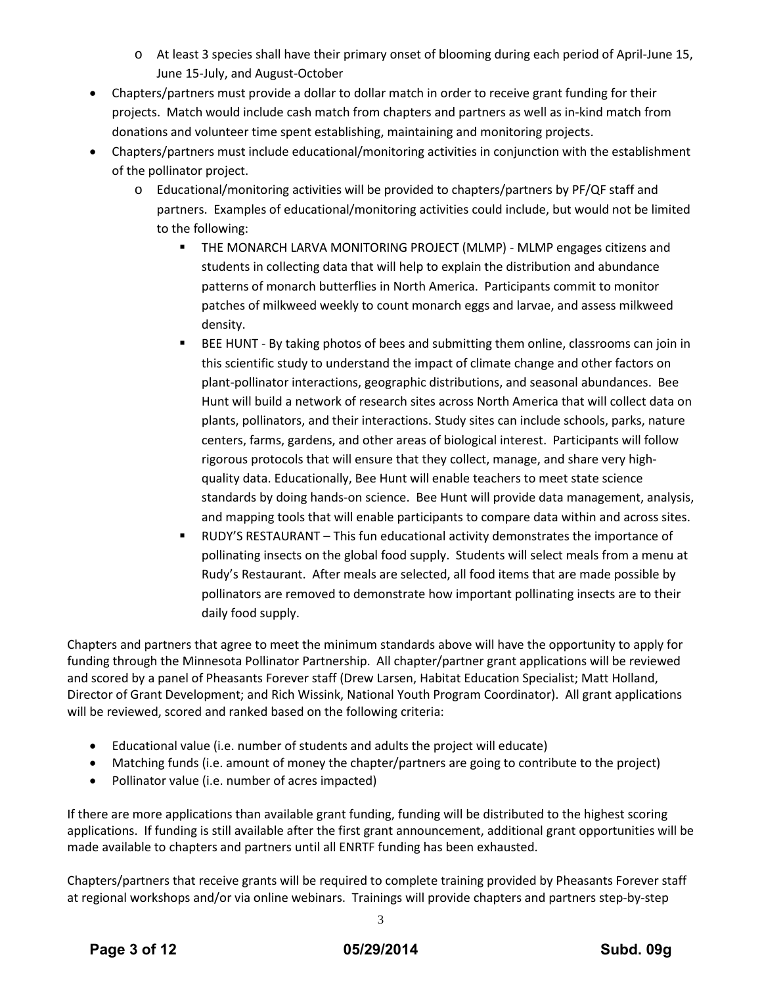- o At least 3 species shall have their primary onset of blooming during each period of April-June 15, June 15-July, and August-October
- Chapters/partners must provide a dollar to dollar match in order to receive grant funding for their projects. Match would include cash match from chapters and partners as well as in-kind match from donations and volunteer time spent establishing, maintaining and monitoring projects.
- Chapters/partners must include educational/monitoring activities in conjunction with the establishment of the pollinator project.
	- o Educational/monitoring activities will be provided to chapters/partners by PF/QF staff and partners. Examples of educational/monitoring activities could include, but would not be limited to the following:
		- THE MONARCH LARVA MONITORING PROJECT (MLMP) MLMP engages citizens and students in collecting data that will help to explain the distribution and abundance patterns of monarch butterflies in North America. Participants commit to monitor patches of milkweed weekly to count monarch eggs and larvae, and assess milkweed density.
		- BEE HUNT By taking photos of bees and submitting them online, classrooms can join in this scientific study to understand the impact of climate change and other factors on plant-pollinator interactions, geographic distributions, and seasonal abundances. Bee Hunt will build a network of research sites across North America that will collect data on plants, pollinators, and their interactions. Study sites can include schools, parks, nature centers, farms, gardens, and other areas of biological interest. Participants will follow rigorous protocols that will ensure that they collect, manage, and share very highquality data. Educationally, Bee Hunt will enable teachers to meet state science standards by doing hands-on science. Bee Hunt will provide data management, analysis, and mapping tools that will enable participants to compare data within and across sites.
		- RUDY'S RESTAURANT This fun educational activity demonstrates the importance of pollinating insects on the global food supply. Students will select meals from a menu at Rudy's Restaurant. After meals are selected, all food items that are made possible by pollinators are removed to demonstrate how important pollinating insects are to their daily food supply.

Chapters and partners that agree to meet the minimum standards above will have the opportunity to apply for funding through the Minnesota Pollinator Partnership. All chapter/partner grant applications will be reviewed and scored by a panel of Pheasants Forever staff (Drew Larsen, Habitat Education Specialist; Matt Holland, Director of Grant Development; and Rich Wissink, National Youth Program Coordinator). All grant applications will be reviewed, scored and ranked based on the following criteria:

- Educational value (i.e. number of students and adults the project will educate)
- Matching funds (i.e. amount of money the chapter/partners are going to contribute to the project)
- Pollinator value (i.e. number of acres impacted)

If there are more applications than available grant funding, funding will be distributed to the highest scoring applications. If funding is still available after the first grant announcement, additional grant opportunities will be made available to chapters and partners until all ENRTF funding has been exhausted.

Chapters/partners that receive grants will be required to complete training provided by Pheasants Forever staff at regional workshops and/or via online webinars. Trainings will provide chapters and partners step-by-step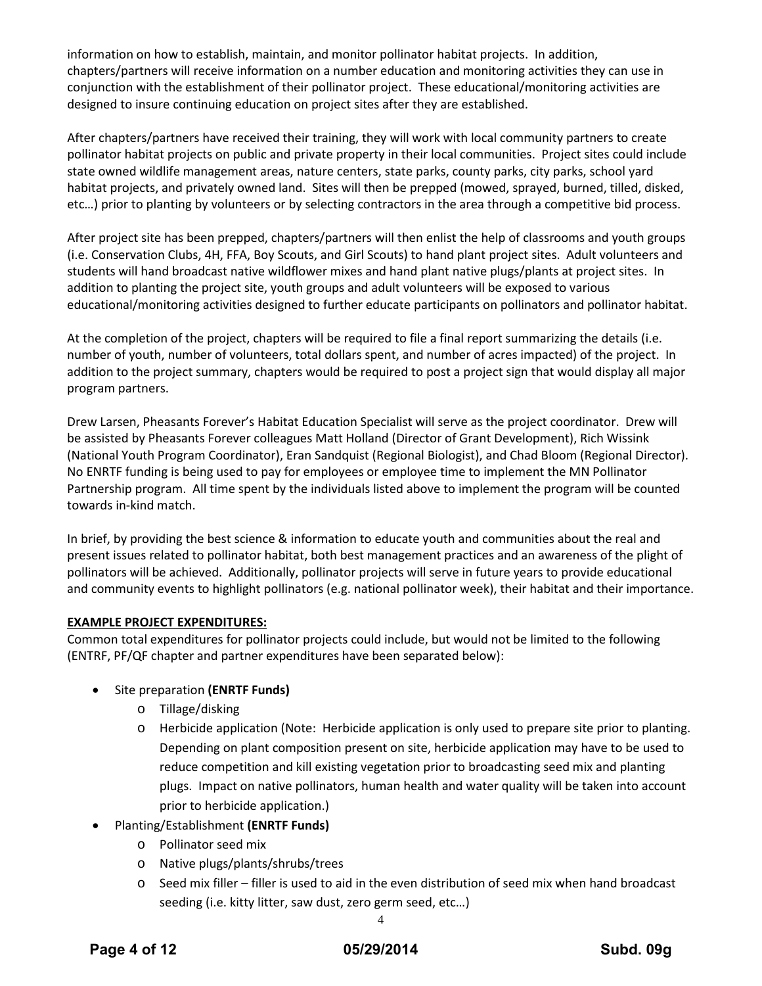information on how to establish, maintain, and monitor pollinator habitat projects. In addition, chapters/partners will receive information on a number education and monitoring activities they can use in conjunction with the establishment of their pollinator project. These educational/monitoring activities are designed to insure continuing education on project sites after they are established.

After chapters/partners have received their training, they will work with local community partners to create pollinator habitat projects on public and private property in their local communities. Project sites could include state owned wildlife management areas, nature centers, state parks, county parks, city parks, school yard habitat projects, and privately owned land. Sites will then be prepped (mowed, sprayed, burned, tilled, disked, etc…) prior to planting by volunteers or by selecting contractors in the area through a competitive bid process.

After project site has been prepped, chapters/partners will then enlist the help of classrooms and youth groups (i.e. Conservation Clubs, 4H, FFA, Boy Scouts, and Girl Scouts) to hand plant project sites. Adult volunteers and students will hand broadcast native wildflower mixes and hand plant native plugs/plants at project sites. In addition to planting the project site, youth groups and adult volunteers will be exposed to various educational/monitoring activities designed to further educate participants on pollinators and pollinator habitat.

At the completion of the project, chapters will be required to file a final report summarizing the details (i.e. number of youth, number of volunteers, total dollars spent, and number of acres impacted) of the project. In addition to the project summary, chapters would be required to post a project sign that would display all major program partners.

Drew Larsen, Pheasants Forever's Habitat Education Specialist will serve as the project coordinator. Drew will be assisted by Pheasants Forever colleagues Matt Holland (Director of Grant Development), Rich Wissink (National Youth Program Coordinator), Eran Sandquist (Regional Biologist), and Chad Bloom (Regional Director). No ENRTF funding is being used to pay for employees or employee time to implement the MN Pollinator Partnership program. All time spent by the individuals listed above to implement the program will be counted towards in-kind match.

In brief, by providing the best science & information to educate youth and communities about the real and present issues related to pollinator habitat, both best management practices and an awareness of the plight of pollinators will be achieved. Additionally, pollinator projects will serve in future years to provide educational and community events to highlight pollinators (e.g. national pollinator week), their habitat and their importance.

# **EXAMPLE PROJECT EXPENDITURES:**

Common total expenditures for pollinator projects could include, but would not be limited to the following (ENTRF, PF/QF chapter and partner expenditures have been separated below):

# • Site preparation **(ENRTF Funds)**

- o Tillage/disking
- o Herbicide application (Note: Herbicide application is only used to prepare site prior to planting. Depending on plant composition present on site, herbicide application may have to be used to reduce competition and kill existing vegetation prior to broadcasting seed mix and planting plugs. Impact on native pollinators, human health and water quality will be taken into account prior to herbicide application.)
- Planting/Establishment **(ENRTF Funds)**
	- o Pollinator seed mix
	- o Native plugs/plants/shrubs/trees
	- o Seed mix filler filler is used to aid in the even distribution of seed mix when hand broadcast seeding (i.e. kitty litter, saw dust, zero germ seed, etc…)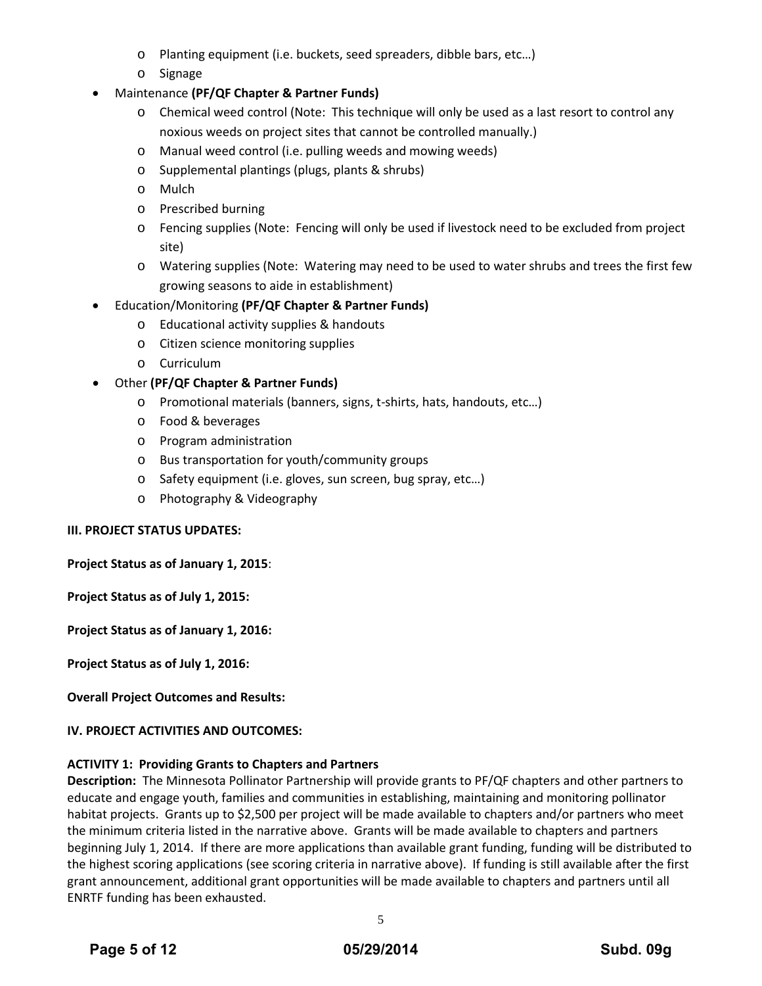- o Planting equipment (i.e. buckets, seed spreaders, dibble bars, etc…)
- o Signage
- Maintenance **(PF/QF Chapter & Partner Funds)**
	- o Chemical weed control (Note: This technique will only be used as a last resort to control any noxious weeds on project sites that cannot be controlled manually.)
	- o Manual weed control (i.e. pulling weeds and mowing weeds)
	- o Supplemental plantings (plugs, plants & shrubs)
	- o Mulch
	- o Prescribed burning
	- o Fencing supplies (Note: Fencing will only be used if livestock need to be excluded from project site)
	- o Watering supplies (Note: Watering may need to be used to water shrubs and trees the first few growing seasons to aide in establishment)
- Education/Monitoring **(PF/QF Chapter & Partner Funds)**
	- o Educational activity supplies & handouts
	- o Citizen science monitoring supplies
	- o Curriculum
- Other **(PF/QF Chapter & Partner Funds)**
	- o Promotional materials (banners, signs, t-shirts, hats, handouts, etc…)
	- o Food & beverages
	- o Program administration
	- o Bus transportation for youth/community groups
	- o Safety equipment (i.e. gloves, sun screen, bug spray, etc…)
	- o Photography & Videography

# **III. PROJECT STATUS UPDATES:**

**Project Status as of January 1, 2015**:

**Project Status as of July 1, 2015:**

**Project Status as of January 1, 2016:**

**Project Status as of July 1, 2016:**

**Overall Project Outcomes and Results:**

# **IV. PROJECT ACTIVITIES AND OUTCOMES:**

# **ACTIVITY 1: Providing Grants to Chapters and Partners**

**Description:** The Minnesota Pollinator Partnership will provide grants to PF/QF chapters and other partners to educate and engage youth, families and communities in establishing, maintaining and monitoring pollinator habitat projects. Grants up to \$2,500 per project will be made available to chapters and/or partners who meet the minimum criteria listed in the narrative above. Grants will be made available to chapters and partners beginning July 1, 2014. If there are more applications than available grant funding, funding will be distributed to the highest scoring applications (see scoring criteria in narrative above). If funding is still available after the first grant announcement, additional grant opportunities will be made available to chapters and partners until all ENRTF funding has been exhausted.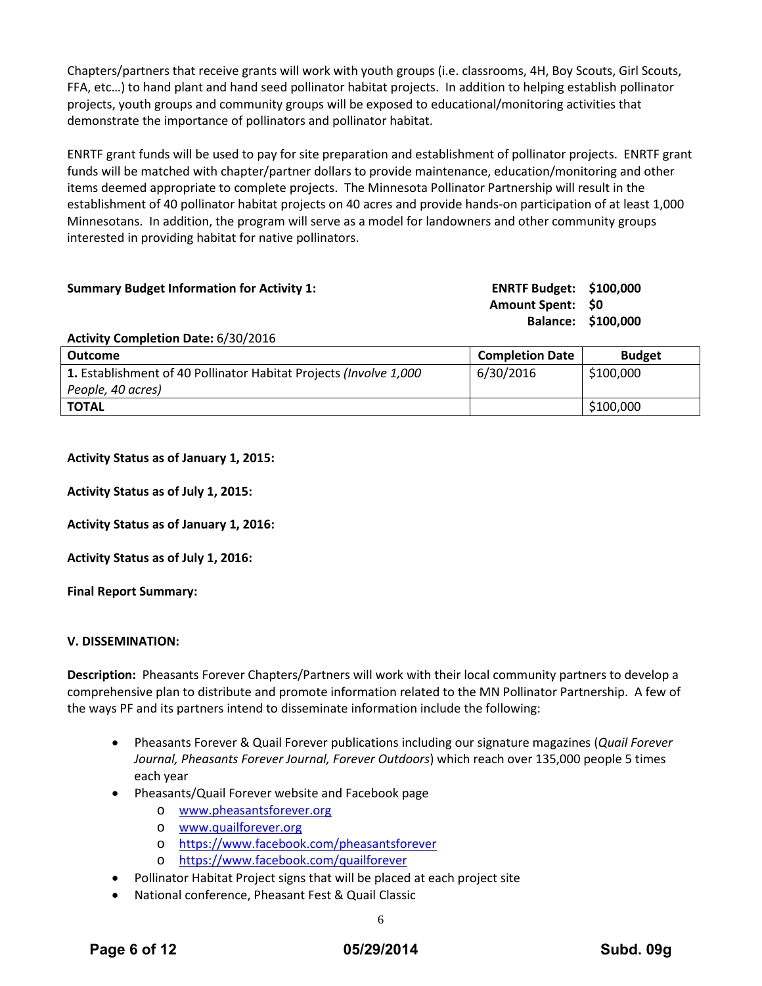Chapters/partners that receive grants will work with youth groups (i.e. classrooms, 4H, Boy Scouts, Girl Scouts, FFA, etc…) to hand plant and hand seed pollinator habitat projects. In addition to helping establish pollinator projects, youth groups and community groups will be exposed to educational/monitoring activities that demonstrate the importance of pollinators and pollinator habitat.

ENRTF grant funds will be used to pay for site preparation and establishment of pollinator projects. ENRTF grant funds will be matched with chapter/partner dollars to provide maintenance, education/monitoring and other items deemed appropriate to complete projects. The Minnesota Pollinator Partnership will result in the establishment of 40 pollinator habitat projects on 40 acres and provide hands-on participation of at least 1,000 Minnesotans. In addition, the program will serve as a model for landowners and other community groups interested in providing habitat for native pollinators.

| <b>Summary Budget Information for Activity 1:</b> | <b>ENRTF Budget: \$100,000</b> |                    |
|---------------------------------------------------|--------------------------------|--------------------|
|                                                   | <b>Amount Spent: \$0</b>       |                    |
|                                                   |                                | Balance: \$100,000 |
| Activity Completion Date: 6/30/2016               |                                |                    |

| <b>Outcome</b>                                                    | <b>Completion Date</b> | <b>Budget</b> |
|-------------------------------------------------------------------|------------------------|---------------|
| 1. Establishment of 40 Pollinator Habitat Projects (Involve 1,000 | 6/30/2016              | \$100,000     |
| People, 40 acres)                                                 |                        |               |
| <b>TOTAL</b>                                                      |                        | \$100,000     |

### **Activity Status as of January 1, 2015:**

**Activity Status as of July 1, 2015:**

**Activity Status as of January 1, 2016:**

**Activity Status as of July 1, 2016:**

**Final Report Summary:**

#### **V. DISSEMINATION:**

**Description:** Pheasants Forever Chapters/Partners will work with their local community partners to develop a comprehensive plan to distribute and promote information related to the MN Pollinator Partnership. A few of the ways PF and its partners intend to disseminate information include the following:

- Pheasants Forever & Quail Forever publications including our signature magazines (*Quail Forever Journal, Pheasants Forever Journal, Forever Outdoors*) which reach over 135,000 people 5 times each year
- Pheasants/Quail Forever website and Facebook page
	- o [www.pheasantsforever.org](http://www.pheasantsforever.org/)
	- o [www.quailforever.org](http://www.quailforever.org/)
	- o <https://www.facebook.com/pheasantsforever>
	- o <https://www.facebook.com/quailforever>
- Pollinator Habitat Project signs that will be placed at each project site
- National conference, Pheasant Fest & Quail Classic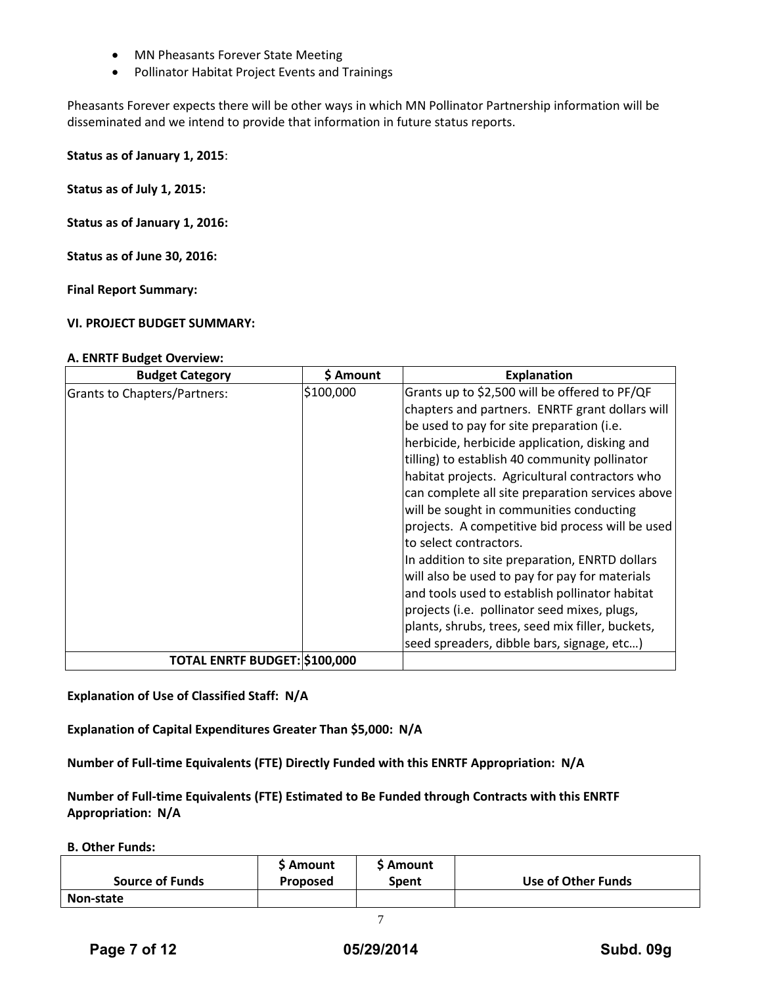- MN Pheasants Forever State Meeting
- Pollinator Habitat Project Events and Trainings

Pheasants Forever expects there will be other ways in which MN Pollinator Partnership information will be disseminated and we intend to provide that information in future status reports.

**Status as of January 1, 2015**:

**Status as of July 1, 2015:**

**Status as of January 1, 2016:**

**Status as of June 30, 2016:**

**Final Report Summary:**

#### **VI. PROJECT BUDGET SUMMARY:**

#### **A. ENRTF Budget Overview:**

| <b>Budget Category</b>               | \$ Amount | <b>Explanation</b>                               |
|--------------------------------------|-----------|--------------------------------------------------|
| <b>Grants to Chapters/Partners:</b>  | \$100,000 | Grants up to \$2,500 will be offered to PF/QF    |
|                                      |           | chapters and partners. ENRTF grant dollars will  |
|                                      |           | be used to pay for site preparation (i.e.        |
|                                      |           | herbicide, herbicide application, disking and    |
|                                      |           | tilling) to establish 40 community pollinator    |
|                                      |           | habitat projects. Agricultural contractors who   |
|                                      |           | can complete all site preparation services above |
|                                      |           | will be sought in communities conducting         |
|                                      |           | projects. A competitive bid process will be used |
|                                      |           | to select contractors.                           |
|                                      |           | In addition to site preparation, ENRTD dollars   |
|                                      |           | will also be used to pay for pay for materials   |
|                                      |           | and tools used to establish pollinator habitat   |
|                                      |           | projects (i.e. pollinator seed mixes, plugs,     |
|                                      |           | plants, shrubs, trees, seed mix filler, buckets, |
|                                      |           | seed spreaders, dibble bars, signage, etc)       |
| <b>TOTAL ENRTF BUDGET: \$100,000</b> |           |                                                  |

**Explanation of Use of Classified Staff: N/A**

**Explanation of Capital Expenditures Greater Than \$5,000: N/A**

**Number of Full-time Equivalents (FTE) Directly Funded with this ENRTF Appropriation: N/A**

**Number of Full-time Equivalents (FTE) Estimated to Be Funded through Contracts with this ENRTF Appropriation: N/A**

**B. Other Funds:**

| <b>Source of Funds</b> | <b>S</b> Amount<br><b>Proposed</b> | <b>S</b> Amount<br>Spent | Use of Other Funds |
|------------------------|------------------------------------|--------------------------|--------------------|
| Non-state              |                                    |                          |                    |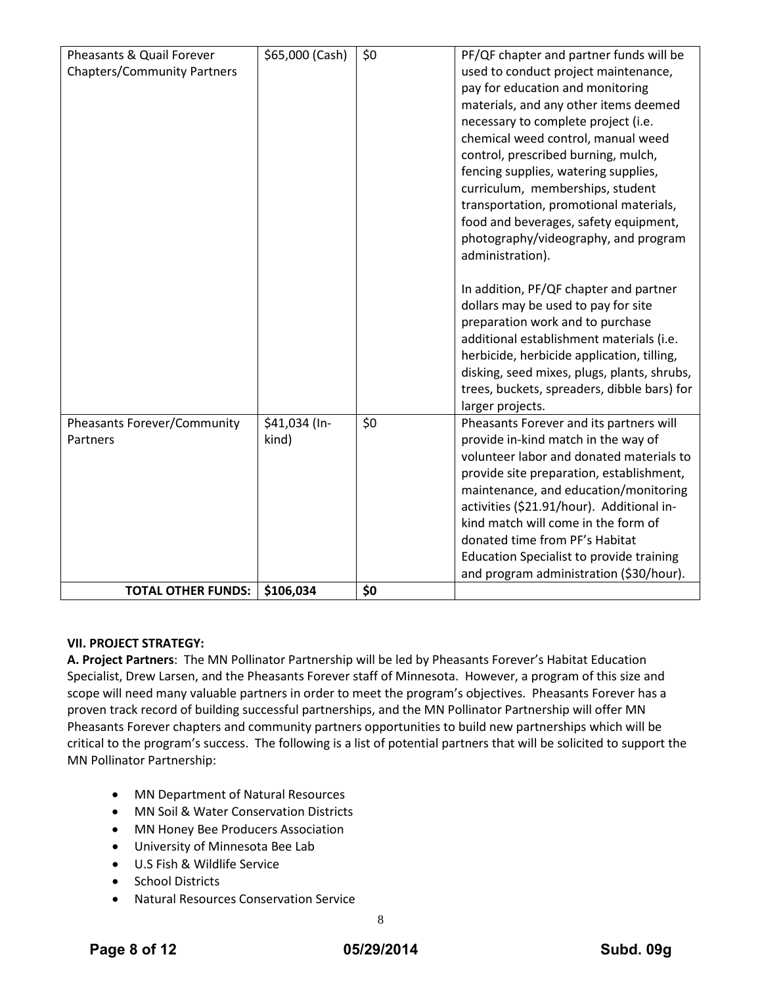| Pheasants & Quail Forever<br><b>Chapters/Community Partners</b> | \$65,000 (Cash)        | \$0 | PF/QF chapter and partner funds will be<br>used to conduct project maintenance,<br>pay for education and monitoring<br>materials, and any other items deemed<br>necessary to complete project (i.e.<br>chemical weed control, manual weed<br>control, prescribed burning, mulch,<br>fencing supplies, watering supplies,<br>curriculum, memberships, student                                                                        |
|-----------------------------------------------------------------|------------------------|-----|-------------------------------------------------------------------------------------------------------------------------------------------------------------------------------------------------------------------------------------------------------------------------------------------------------------------------------------------------------------------------------------------------------------------------------------|
|                                                                 |                        |     | transportation, promotional materials,<br>food and beverages, safety equipment,<br>photography/videography, and program<br>administration).                                                                                                                                                                                                                                                                                         |
|                                                                 |                        |     | In addition, PF/QF chapter and partner<br>dollars may be used to pay for site<br>preparation work and to purchase<br>additional establishment materials (i.e.<br>herbicide, herbicide application, tilling,<br>disking, seed mixes, plugs, plants, shrubs,<br>trees, buckets, spreaders, dibble bars) for<br>larger projects.                                                                                                       |
| <b>Pheasants Forever/Community</b><br>Partners                  | \$41,034 (In-<br>kind) | \$0 | Pheasants Forever and its partners will<br>provide in-kind match in the way of<br>volunteer labor and donated materials to<br>provide site preparation, establishment,<br>maintenance, and education/monitoring<br>activities (\$21.91/hour). Additional in-<br>kind match will come in the form of<br>donated time from PF's Habitat<br><b>Education Specialist to provide training</b><br>and program administration (\$30/hour). |
| <b>TOTAL OTHER FUNDS:</b>                                       | \$106,034              | \$0 |                                                                                                                                                                                                                                                                                                                                                                                                                                     |

# **VII. PROJECT STRATEGY:**

**A. Project Partners**: The MN Pollinator Partnership will be led by Pheasants Forever's Habitat Education Specialist, Drew Larsen, and the Pheasants Forever staff of Minnesota. However, a program of this size and scope will need many valuable partners in order to meet the program's objectives. Pheasants Forever has a proven track record of building successful partnerships, and the MN Pollinator Partnership will offer MN Pheasants Forever chapters and community partners opportunities to build new partnerships which will be critical to the program's success. The following is a list of potential partners that will be solicited to support the MN Pollinator Partnership:

- MN Department of Natural Resources
- MN Soil & Water Conservation Districts
- MN Honey Bee Producers Association
- University of Minnesota Bee Lab
- U.S Fish & Wildlife Service
- School Districts
- Natural Resources Conservation Service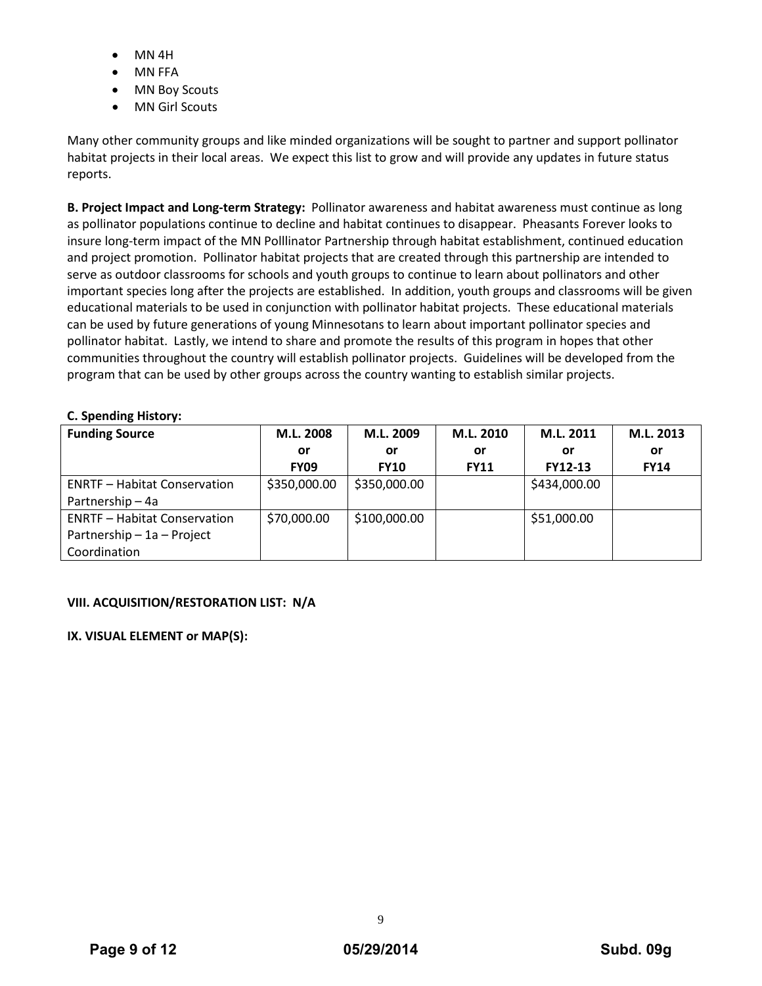- MN 4H
- MN FFA
- **MN Boy Scouts**
- MN Girl Scouts

Many other community groups and like minded organizations will be sought to partner and support pollinator habitat projects in their local areas. We expect this list to grow and will provide any updates in future status reports.

**B. Project Impact and Long-term Strategy:** Pollinator awareness and habitat awareness must continue as long as pollinator populations continue to decline and habitat continues to disappear. Pheasants Forever looks to insure long-term impact of the MN Polllinator Partnership through habitat establishment, continued education and project promotion. Pollinator habitat projects that are created through this partnership are intended to serve as outdoor classrooms for schools and youth groups to continue to learn about pollinators and other important species long after the projects are established. In addition, youth groups and classrooms will be given educational materials to be used in conjunction with pollinator habitat projects. These educational materials can be used by future generations of young Minnesotans to learn about important pollinator species and pollinator habitat. Lastly, we intend to share and promote the results of this program in hopes that other communities throughout the country will establish pollinator projects. Guidelines will be developed from the program that can be used by other groups across the country wanting to establish similar projects.

# **C. Spending History:**

| <b>Funding Source</b>               | M.L. 2008    | M.L. 2009    | M.L. 2010   | M.L. 2011      | M.L. 2013   |
|-------------------------------------|--------------|--------------|-------------|----------------|-------------|
|                                     | or           | or           | or          | or             | or          |
|                                     | <b>FY09</b>  | <b>FY10</b>  | <b>FY11</b> | <b>FY12-13</b> | <b>FY14</b> |
| <b>ENRTF - Habitat Conservation</b> | \$350,000.00 | \$350,000.00 |             | \$434,000.00   |             |
| Partnership - 4a                    |              |              |             |                |             |
| <b>ENRTF - Habitat Conservation</b> | \$70,000.00  | \$100,000.00 |             | \$51,000.00    |             |
| Partnership - 1a - Project          |              |              |             |                |             |
| Coordination                        |              |              |             |                |             |

# **VIII. ACQUISITION/RESTORATION LIST: N/A**

# **IX. VISUAL ELEMENT or MAP(S):**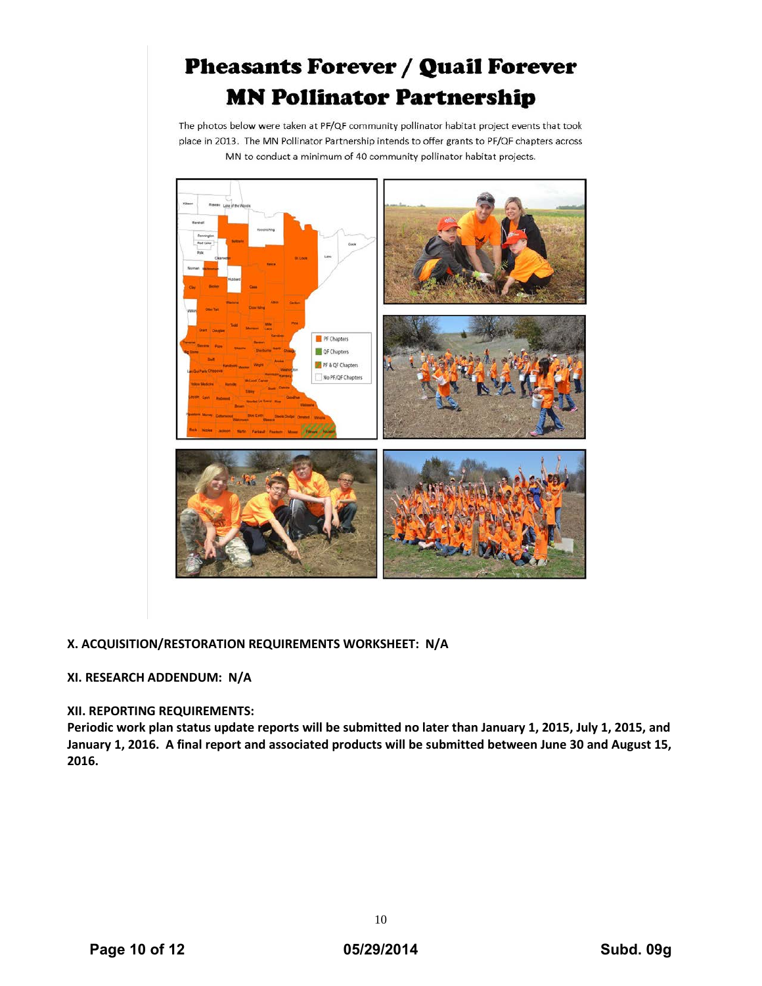# **Pheasants Forever / Quail Forever MN Pollinator Partnership**

The photos below were taken at PF/QF community pollinator habitat project events that took place in 2013. The MN Pollinator Partnership intends to offer grants to PF/QF chapters across MN to conduct a minimum of 40 community pollinator habitat projects.



# **X. ACQUISITION/RESTORATION REQUIREMENTS WORKSHEET: N/A**

# **XI. RESEARCH ADDENDUM: N/A**

# **XII. REPORTING REQUIREMENTS:**

**Periodic work plan status update reports will be submitted no later than January 1, 2015, July 1, 2015, and January 1, 2016. A final report and associated products will be submitted between June 30 and August 15, 2016.**